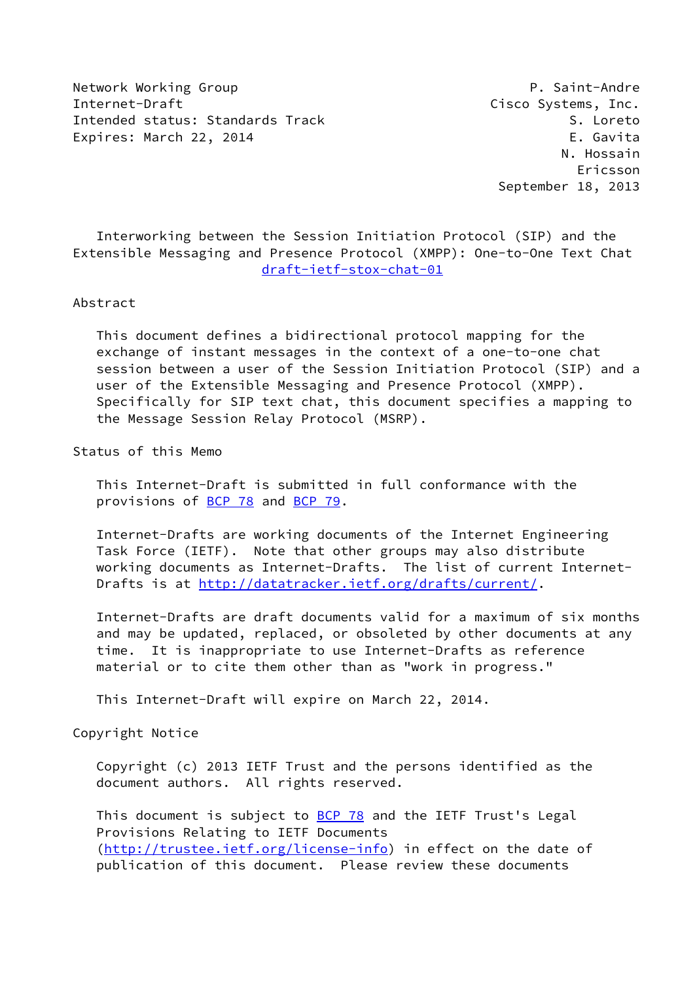Network Working Group **P. Saint-Andre** Internet-Draft **Cisco Systems**. Inc. Intended status: Standards Track S. Loreto Expires: March 22, 2014 **Expires: March 22, 2014** 

 N. Hossain Ericsson September 18, 2013

 Interworking between the Session Initiation Protocol (SIP) and the Extensible Messaging and Presence Protocol (XMPP): One-to-One Text Chat [draft-ietf-stox-chat-01](https://datatracker.ietf.org/doc/pdf/draft-ietf-stox-chat-01)

#### Abstract

 This document defines a bidirectional protocol mapping for the exchange of instant messages in the context of a one-to-one chat session between a user of the Session Initiation Protocol (SIP) and a user of the Extensible Messaging and Presence Protocol (XMPP). Specifically for SIP text chat, this document specifies a mapping to the Message Session Relay Protocol (MSRP).

Status of this Memo

 This Internet-Draft is submitted in full conformance with the provisions of [BCP 78](https://datatracker.ietf.org/doc/pdf/bcp78) and [BCP 79](https://datatracker.ietf.org/doc/pdf/bcp79).

 Internet-Drafts are working documents of the Internet Engineering Task Force (IETF). Note that other groups may also distribute working documents as Internet-Drafts. The list of current Internet- Drafts is at<http://datatracker.ietf.org/drafts/current/>.

 Internet-Drafts are draft documents valid for a maximum of six months and may be updated, replaced, or obsoleted by other documents at any time. It is inappropriate to use Internet-Drafts as reference material or to cite them other than as "work in progress."

This Internet-Draft will expire on March 22, 2014.

Copyright Notice

 Copyright (c) 2013 IETF Trust and the persons identified as the document authors. All rights reserved.

This document is subject to **[BCP 78](https://datatracker.ietf.org/doc/pdf/bcp78)** and the IETF Trust's Legal Provisions Relating to IETF Documents [\(http://trustee.ietf.org/license-info](http://trustee.ietf.org/license-info)) in effect on the date of publication of this document. Please review these documents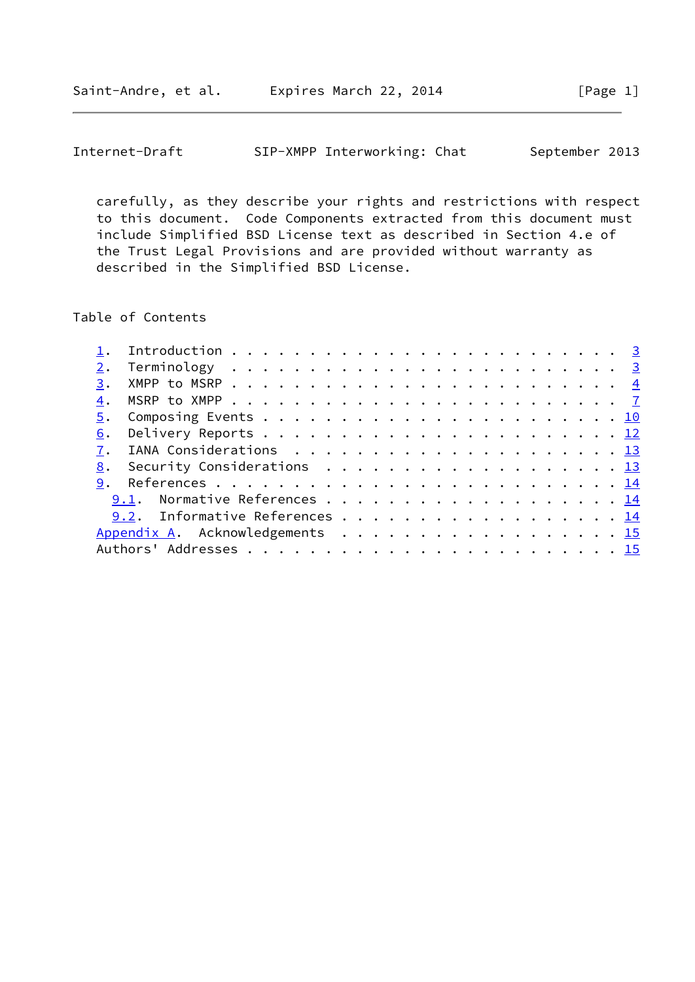carefully, as they describe your rights and restrictions with respect to this document. Code Components extracted from this document must include Simplified BSD License text as described in Section 4.e of the Trust Legal Provisions and are provided without warranty as described in the Simplified BSD License.

Table of Contents

|  | 8. Security Considerations 13   |  |  |  |  |  |  |  |  |  |  |  |  |
|--|---------------------------------|--|--|--|--|--|--|--|--|--|--|--|--|
|  |                                 |  |  |  |  |  |  |  |  |  |  |  |  |
|  | 9.1. Normative References 14    |  |  |  |  |  |  |  |  |  |  |  |  |
|  | 9.2. Informative References 14  |  |  |  |  |  |  |  |  |  |  |  |  |
|  | Appendix A. Acknowledgements 15 |  |  |  |  |  |  |  |  |  |  |  |  |
|  |                                 |  |  |  |  |  |  |  |  |  |  |  |  |
|  |                                 |  |  |  |  |  |  |  |  |  |  |  |  |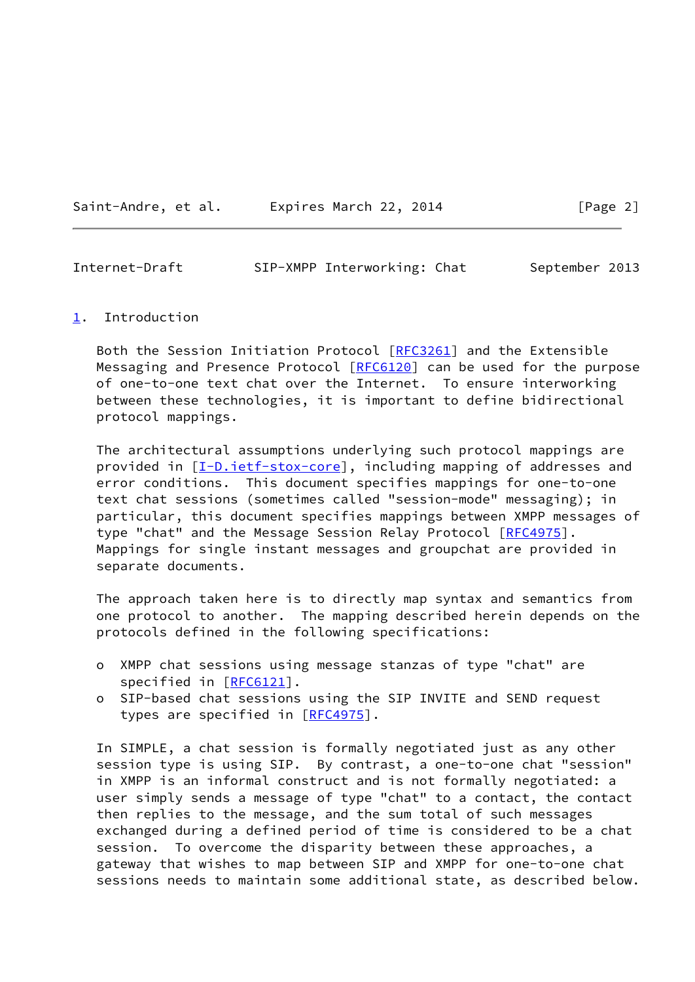Saint-Andre, et al. Expires March 22, 2014 [Page 2]

<span id="page-2-1"></span>Internet-Draft SIP-XMPP Interworking: Chat September 2013

#### <span id="page-2-0"></span>[1](#page-2-0). Introduction

 Both the Session Initiation Protocol [\[RFC3261](https://datatracker.ietf.org/doc/pdf/rfc3261)] and the Extensible Messaging and Presence Protocol [\[RFC6120](https://datatracker.ietf.org/doc/pdf/rfc6120)] can be used for the purpose of one-to-one text chat over the Internet. To ensure interworking between these technologies, it is important to define bidirectional protocol mappings.

 The architectural assumptions underlying such protocol mappings are provided in  $[I-D.iett-stox-core]$ , including mapping of addresses and error conditions. This document specifies mappings for one-to-one text chat sessions (sometimes called "session-mode" messaging); in particular, this document specifies mappings between XMPP messages of type "chat" and the Message Session Relay Protocol [[RFC4975\]](https://datatracker.ietf.org/doc/pdf/rfc4975). Mappings for single instant messages and groupchat are provided in separate documents.

 The approach taken here is to directly map syntax and semantics from one protocol to another. The mapping described herein depends on the protocols defined in the following specifications:

- o XMPP chat sessions using message stanzas of type "chat" are specified in [\[RFC6121](https://datatracker.ietf.org/doc/pdf/rfc6121)].
- o SIP-based chat sessions using the SIP INVITE and SEND request types are specified in [[RFC4975](https://datatracker.ietf.org/doc/pdf/rfc4975)].

 In SIMPLE, a chat session is formally negotiated just as any other session type is using SIP. By contrast, a one-to-one chat "session" in XMPP is an informal construct and is not formally negotiated: a user simply sends a message of type "chat" to a contact, the contact then replies to the message, and the sum total of such messages exchanged during a defined period of time is considered to be a chat session. To overcome the disparity between these approaches, a gateway that wishes to map between SIP and XMPP for one-to-one chat sessions needs to maintain some additional state, as described below.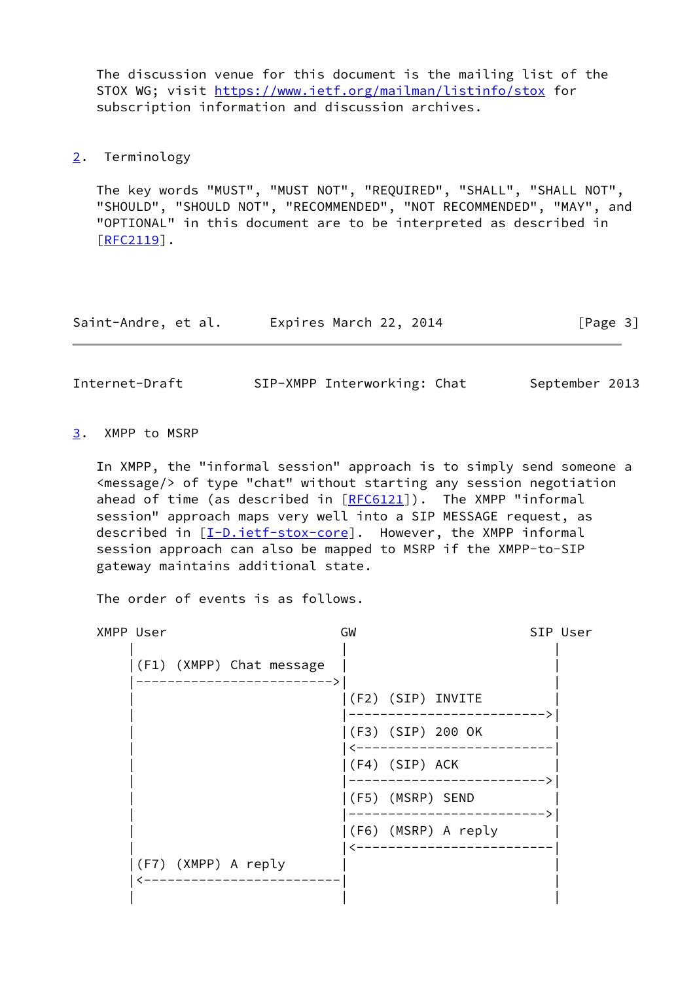The discussion venue for this document is the mailing list of the STOX WG; visit <https://www.ietf.org/mailman/listinfo/stox>for subscription information and discussion archives.

<span id="page-3-0"></span>[2](#page-3-0). Terminology

 The key words "MUST", "MUST NOT", "REQUIRED", "SHALL", "SHALL NOT", "SHOULD", "SHOULD NOT", "RECOMMENDED", "NOT RECOMMENDED", "MAY", and "OPTIONAL" in this document are to be interpreted as described in [\[RFC2119](https://datatracker.ietf.org/doc/pdf/rfc2119)].

| Saint-Andre, et al. | Expires March 22, 2014 | [Page 3] |
|---------------------|------------------------|----------|
|---------------------|------------------------|----------|

<span id="page-3-2"></span>Internet-Draft SIP-XMPP Interworking: Chat September 2013

<span id="page-3-1"></span>[3](#page-3-1). XMPP to MSRP

 In XMPP, the "informal session" approach is to simply send someone a <message/> of type "chat" without starting any session negotiation ahead of time (as described in [\[RFC6121](https://datatracker.ietf.org/doc/pdf/rfc6121)]). The XMPP "informal session" approach maps very well into a SIP MESSAGE request, as described in [\[I-D.ietf-stox-core\]](#page-14-5). However, the XMPP informal session approach can also be mapped to MSRP if the XMPP-to-SIP gateway maintains additional state.

The order of events is as follows.

| XMPP User |                     |                          | GW |                |                        | SIP User |
|-----------|---------------------|--------------------------|----|----------------|------------------------|----------|
|           |                     | (F1) (XMPP) Chat message |    |                |                        |          |
|           |                     |                          |    |                | $ (F2)$ $(SIP)$ INVITE |          |
|           |                     |                          |    |                | (F3) (SIP) 200 OK      |          |
|           |                     |                          |    | (F4) (SIP) ACK |                        |          |
|           |                     |                          |    |                | (F5) (MSRP) SEND       |          |
|           |                     |                          |    |                | (F6) (MSRP) A reply    |          |
|           | (F7) (XMPP) A reply |                          |    |                |                        |          |
|           |                     |                          |    |                |                        |          |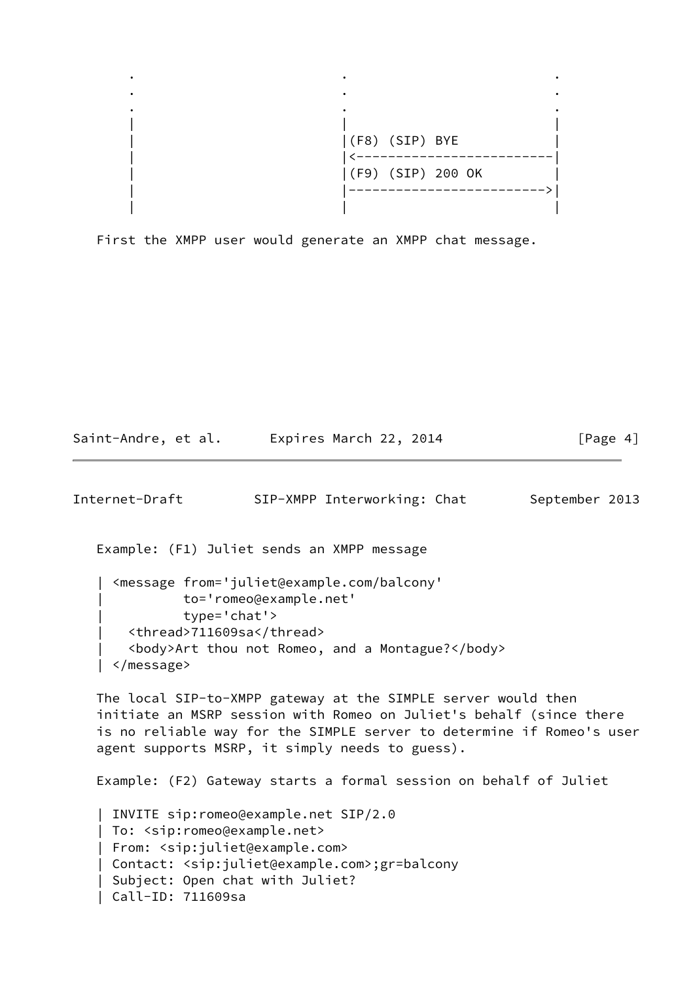

First the XMPP user would generate an XMPP chat message.

```
Saint-Andre, et al. Expires March 22, 2014 [Page 4]
```
Internet-Draft SIP-XMPP Interworking: Chat September 2013

Example: (F1) Juliet sends an XMPP message

```
 | <message from='juliet@example.com/balcony'
            | to='romeo@example.net'
            | type='chat'>
     | <thread>711609sa</thread>
     | <body>Art thou not Romeo, and a Montague?</body>
 | </message>
```
 The local SIP-to-XMPP gateway at the SIMPLE server would then initiate an MSRP session with Romeo on Juliet's behalf (since there is no reliable way for the SIMPLE server to determine if Romeo's user agent supports MSRP, it simply needs to guess).

Example: (F2) Gateway starts a formal session on behalf of Juliet

```
 | INVITE sip:romeo@example.net SIP/2.0
 | To: <sip:romeo@example.net>
 | From: <sip:juliet@example.com>
 | Contact: <sip:juliet@example.com>;gr=balcony
 | Subject: Open chat with Juliet?
 | Call-ID: 711609sa
```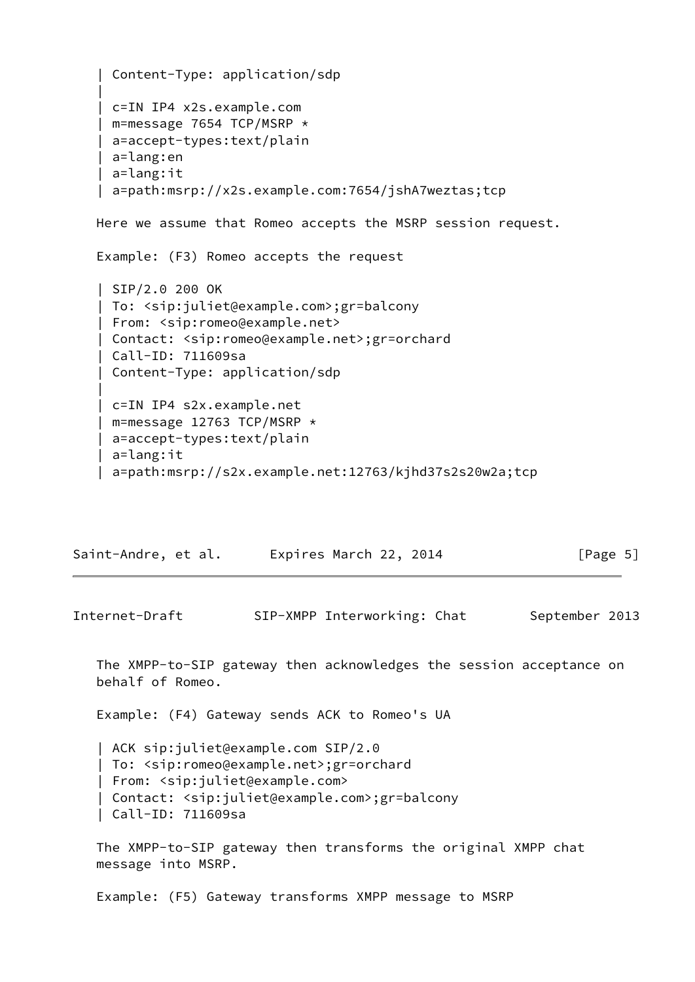```
 | Content-Type: application/sdp
 |
    | c=IN IP4 x2s.example.com
    | m=message 7654 TCP/MSRP *
    | a=accept-types:text/plain
    | a=lang:en
    | a=lang:it
    | a=path:msrp://x2s.example.com:7654/jshA7weztas;tcp
   Here we assume that Romeo accepts the MSRP session request.
   Example: (F3) Romeo accepts the request
    | SIP/2.0 200 OK
    | To: <sip:juliet@example.com>;gr=balcony
    | From: <sip:romeo@example.net>
    | Contact: <sip:romeo@example.net>;gr=orchard
    | Call-ID: 711609sa
    | Content-Type: application/sdp
 |
    | c=IN IP4 s2x.example.net
    | m=message 12763 TCP/MSRP *
    | a=accept-types:text/plain
    | a=lang:it
    | a=path:msrp://s2x.example.net:12763/kjhd37s2s20w2a;tcp
```

| Saint-Andre, et al. | Expires March 22, 2014 | [Page 5] |
|---------------------|------------------------|----------|
|---------------------|------------------------|----------|

Internet-Draft SIP-XMPP Interworking: Chat September 2013

 The XMPP-to-SIP gateway then acknowledges the session acceptance on behalf of Romeo.

Example: (F4) Gateway sends ACK to Romeo's UA

 | ACK sip:juliet@example.com SIP/2.0 | To: <sip:romeo@example.net>;gr=orchard | From: <sip:juliet@example.com> | Contact: <sip:juliet@example.com>;gr=balcony | Call-ID: 711609sa

 The XMPP-to-SIP gateway then transforms the original XMPP chat message into MSRP.

Example: (F5) Gateway transforms XMPP message to MSRP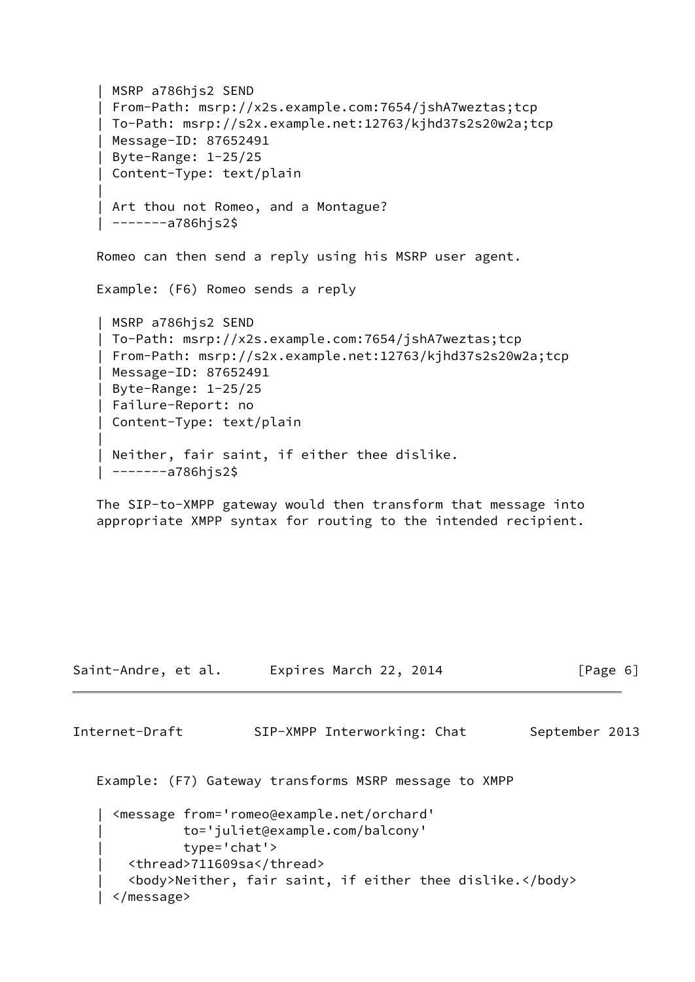```
 | MSRP a786hjs2 SEND
    | From-Path: msrp://x2s.example.com:7654/jshA7weztas;tcp
    | To-Path: msrp://s2x.example.net:12763/kjhd37s2s20w2a;tcp
    | Message-ID: 87652491
    | Byte-Range: 1-25/25
    | Content-Type: text/plain
 |
    | Art thou not Romeo, and a Montague?
    | -------a786hjs2$
   Romeo can then send a reply using his MSRP user agent.
   Example: (F6) Romeo sends a reply
    | MSRP a786hjs2 SEND
    | To-Path: msrp://x2s.example.com:7654/jshA7weztas;tcp
    | From-Path: msrp://s2x.example.net:12763/kjhd37s2s20w2a;tcp
    | Message-ID: 87652491
    | Byte-Range: 1-25/25
    | Failure-Report: no
    | Content-Type: text/plain
 |
    | Neither, fair saint, if either thee dislike.
    | -------a786hjs2$
   The SIP-to-XMPP gateway would then transform that message into
    appropriate XMPP syntax for routing to the intended recipient.
```

```
Saint-Andre, et al.     Expires March 22, 2014 [Page 6]
Internet-Draft SIP-XMPP Interworking: Chat September 2013
    Example: (F7) Gateway transforms MSRP message to XMPP
     | <message from='romeo@example.net/orchard'
              | to='juliet@example.com/balcony'
              | type='chat'>
       | <thread>711609sa</thread>
       | <body>Neither, fair saint, if either thee dislike.</body>
     | </message>
```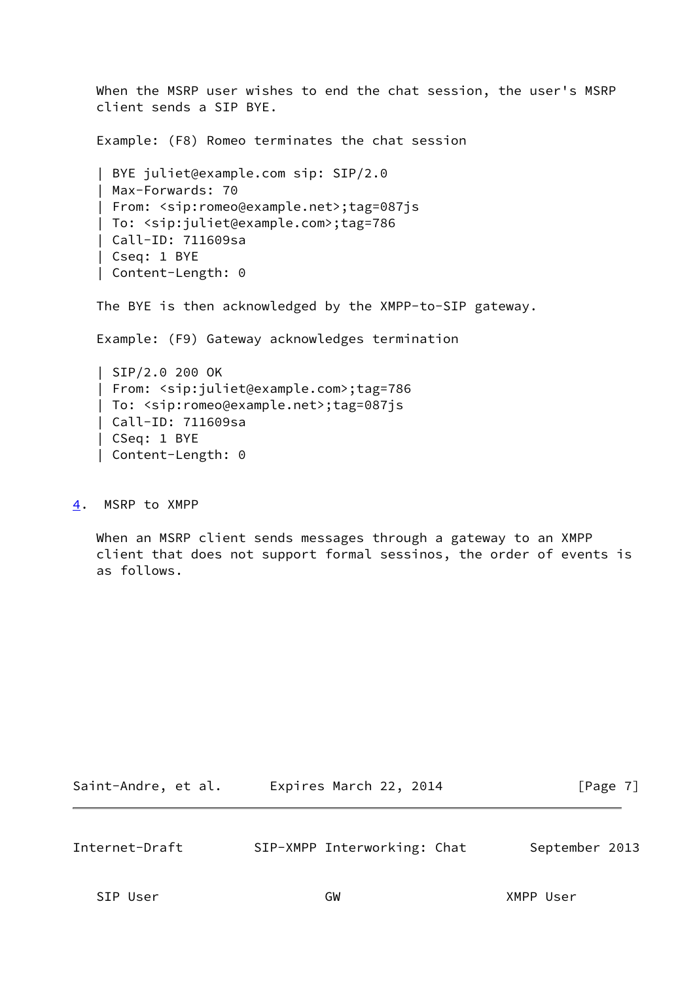When the MSRP user wishes to end the chat session, the user's MSRP client sends a SIP BYE. Example: (F8) Romeo terminates the chat session | BYE juliet@example.com sip: SIP/2.0 | Max-Forwards: 70 | From: <sip:romeo@example.net>;tag=087js | To: <sip:juliet@example.com>;tag=786 | Call-ID: 711609sa | Cseq: 1 BYE | Content-Length: 0 The BYE is then acknowledged by the XMPP-to-SIP gateway. Example: (F9) Gateway acknowledges termination | SIP/2.0 200 OK | From: <sip:juliet@example.com>;tag=786 | To: <sip:romeo@example.net>;tag=087js | Call-ID: 711609sa | CSeq: 1 BYE | Content-Length: 0

<span id="page-7-0"></span>[4](#page-7-0). MSRP to XMPP

 When an MSRP client sends messages through a gateway to an XMPP client that does not support formal sessinos, the order of events is as follows.

| Saint-Andre, et al. | Expires March 22, 2014 |  | [Page 7] |  |
|---------------------|------------------------|--|----------|--|
|                     |                        |  |          |  |

Internet-Draft SIP-XMPP Interworking: Chat September 2013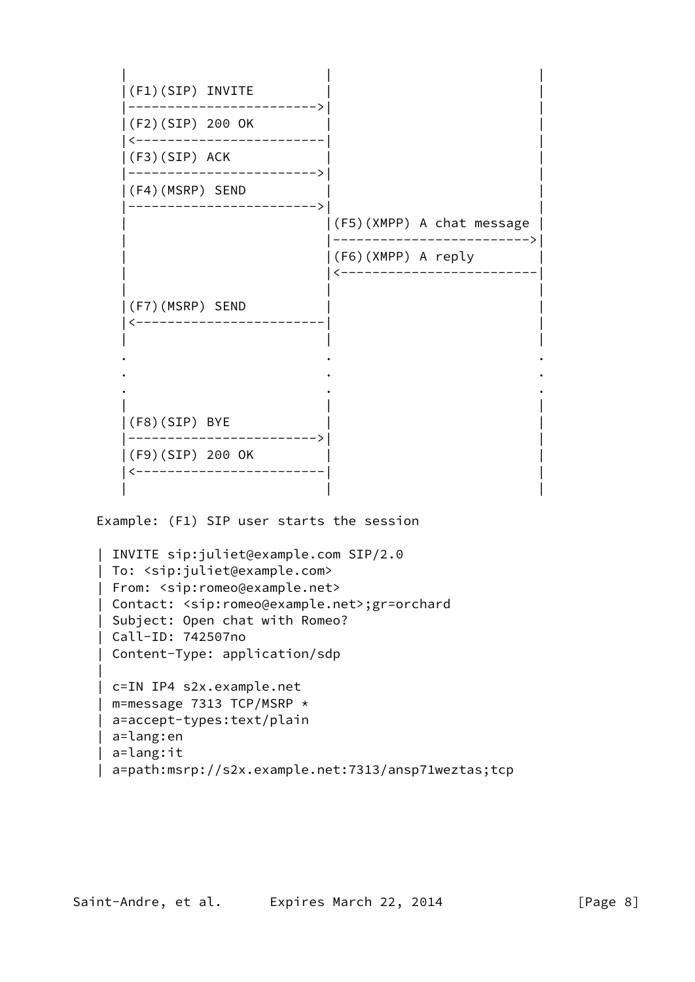| | | |(F1)(SIP) INVITE | | |------------------------>| | |(F2)(SIP) 200 OK | | |<------------------------| |  $|(F3)(SIP)$  ACK |------------------------>| | |(F4)(MSRP) SEND | | |------------------------>| | | |(F5)(XMPP) A chat message | | |------------------------->| | |(F6)(XMPP) A reply | | |<-------------------------| | | |  $|(F7)(MSRP)$  SEND |<------------------------| | | | | . . . . . . . . . | | | |(F8)(SIP) BYE | | |------------------------>| | |(F9)(SIP) 200 OK | | |<------------------------| | | | | Example: (F1) SIP user starts the session | INVITE sip:juliet@example.com SIP/2.0 | To: <sip:juliet@example.com> | From: <sip:romeo@example.net> | Contact: <sip:romeo@example.net>;gr=orchard | Subject: Open chat with Romeo? | Call-ID: 742507no | Content-Type: application/sdp

 | c=IN IP4 s2x.example.net | m=message 7313 TCP/MSRP \* | a=accept-types:text/plain | a=lang:en | a=lang:it | a=path:msrp://s2x.example.net:7313/ansp71weztas;tcp

|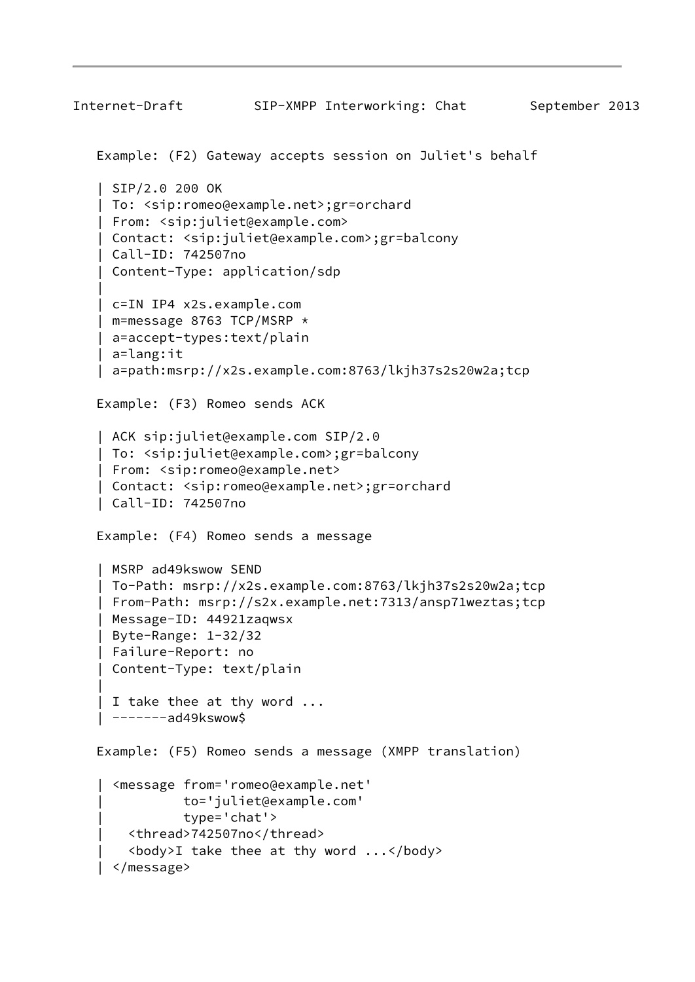```
Internet-Draft SIP-XMPP Interworking: Chat September 2013
    Example: (F2) Gateway accepts session on Juliet's behalf
    | SIP/2.0 200 OK
    | To: <sip:romeo@example.net>;gr=orchard
    | From: <sip:juliet@example.com>
    | Contact: <sip:juliet@example.com>;gr=balcony
    | Call-ID: 742507no
    | Content-Type: application/sdp
 |
    | c=IN IP4 x2s.example.com
    | m=message 8763 TCP/MSRP *
    | a=accept-types:text/plain
    | a=lang:it
    | a=path:msrp://x2s.example.com:8763/lkjh37s2s20w2a;tcp
    Example: (F3) Romeo sends ACK
    | ACK sip:juliet@example.com SIP/2.0
    | To: <sip:juliet@example.com>;gr=balcony
    | From: <sip:romeo@example.net>
    | Contact: <sip:romeo@example.net>;gr=orchard
    | Call-ID: 742507no
    Example: (F4) Romeo sends a message
    | MSRP ad49kswow SEND
    | To-Path: msrp://x2s.example.com:8763/lkjh37s2s20w2a;tcp
    | From-Path: msrp://s2x.example.net:7313/ansp71weztas;tcp
    | Message-ID: 44921zaqwsx
    | Byte-Range: 1-32/32
    | Failure-Report: no
    | Content-Type: text/plain
 |
    | I take thee at thy word ...
    | -------ad49kswow$
    Example: (F5) Romeo sends a message (XMPP translation)
      | <message from='romeo@example.net'
               | to='juliet@example.com'
               | type='chat'>
        | <thread>742507no</thread>
        | <body>I take thee at thy word ...</body>
      | </message>
```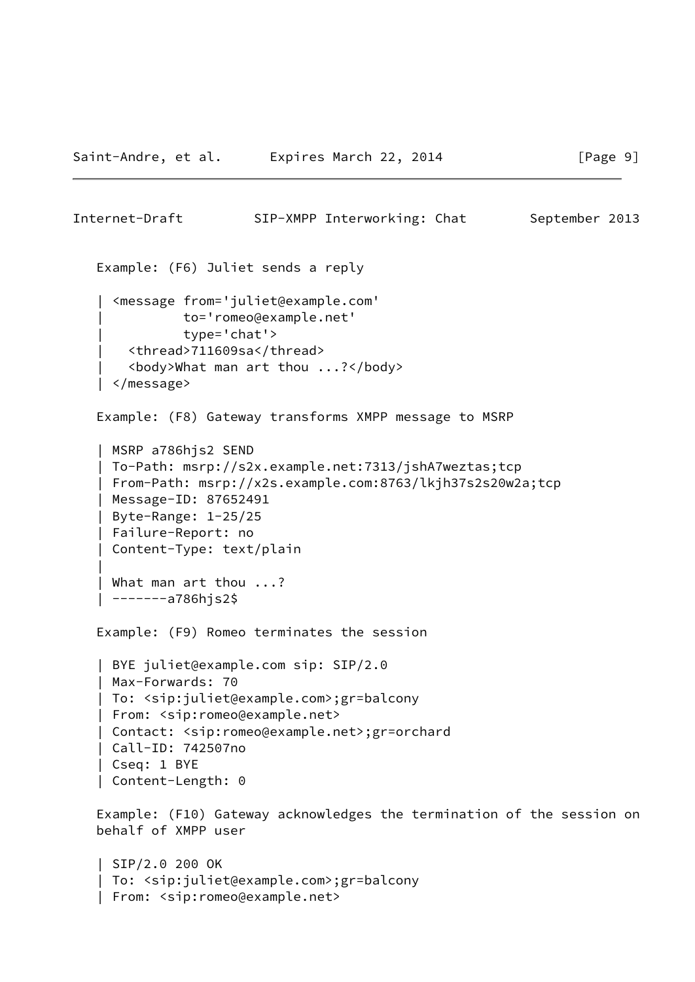```
Internet-Draft SIP-XMPP Interworking: Chat September 2013
    Example: (F6) Juliet sends a reply
      | <message from='juliet@example.com'
              | to='romeo@example.net'
               | type='chat'>
       | <thread>711609sa</thread>
        | <body>What man art thou ...?</body>
    | </message>
    Example: (F8) Gateway transforms XMPP message to MSRP
    | MSRP a786hjs2 SEND
    | To-Path: msrp://s2x.example.net:7313/jshA7weztas;tcp
    | From-Path: msrp://x2s.example.com:8763/lkjh37s2s20w2a;tcp
    | Message-ID: 87652491
    | Byte-Range: 1-25/25
    | Failure-Report: no
    | Content-Type: text/plain
 |
    | What man art thou ...?
    | -------a786hjs2$
    Example: (F9) Romeo terminates the session
    | BYE juliet@example.com sip: SIP/2.0
    | Max-Forwards: 70
    | To: <sip:juliet@example.com>;gr=balcony
    | From: <sip:romeo@example.net>
    | Contact: <sip:romeo@example.net>;gr=orchard
    | Call-ID: 742507no
    | Cseq: 1 BYE
    | Content-Length: 0
```
 Example: (F10) Gateway acknowledges the termination of the session on behalf of XMPP user

 | SIP/2.0 200 OK | To: <sip:juliet@example.com>;gr=balcony | From: <sip:romeo@example.net>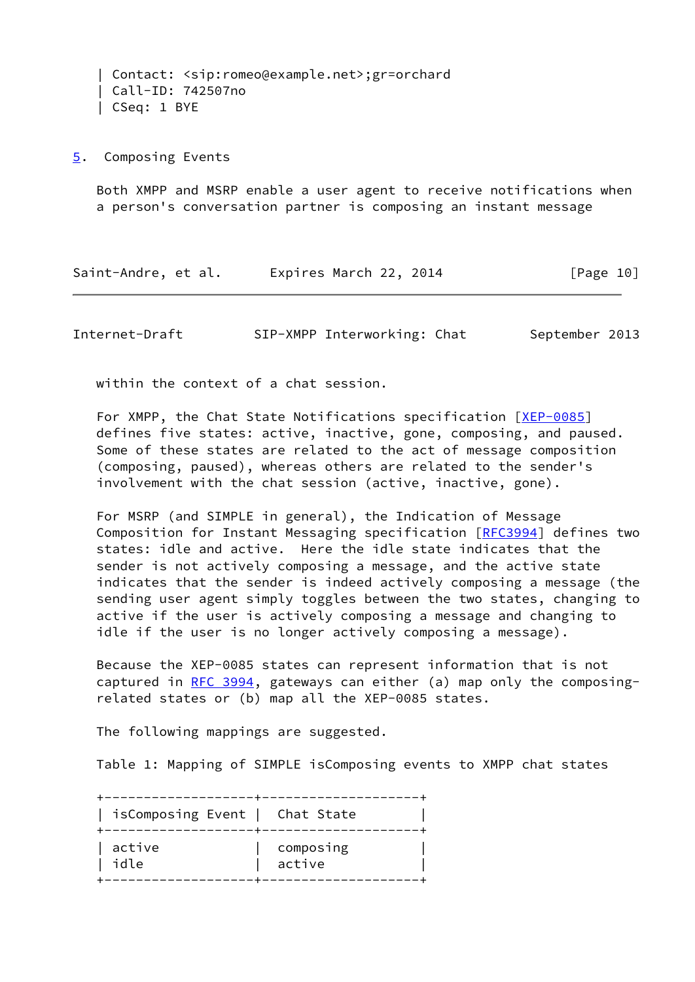| Contact: <sip:romeo@example.net>;gr=orchard | Call-ID: 742507no | CSeq: 1 BYE

<span id="page-11-0"></span>[5](#page-11-0). Composing Events

 Both XMPP and MSRP enable a user agent to receive notifications when a person's conversation partner is composing an instant message

Saint-Andre, et al. Expires March 22, 2014 [Page 10]

Internet-Draft SIP-XMPP Interworking: Chat September 2013

within the context of a chat session.

For XMPP, the Chat State Notifications specification [\[XEP-0085](#page-15-2)] defines five states: active, inactive, gone, composing, and paused. Some of these states are related to the act of message composition (composing, paused), whereas others are related to the sender's involvement with the chat session (active, inactive, gone).

 For MSRP (and SIMPLE in general), the Indication of Message Composition for Instant Messaging specification [\[RFC3994](https://datatracker.ietf.org/doc/pdf/rfc3994)] defines two states: idle and active. Here the idle state indicates that the sender is not actively composing a message, and the active state indicates that the sender is indeed actively composing a message (the sending user agent simply toggles between the two states, changing to active if the user is actively composing a message and changing to idle if the user is no longer actively composing a message).

 Because the XEP-0085 states can represent information that is not captured in [RFC 3994,](https://datatracker.ietf.org/doc/pdf/rfc3994) gateways can either (a) map only the composing related states or (b) map all the XEP-0085 states.

The following mappings are suggested.

Table 1: Mapping of SIMPLE isComposing events to XMPP chat states

 +-------------------+--------------------+ | isComposing Event | Chat State | +-------------------+--------------------+ | active | composing | | idle | active | +-------------------+--------------------+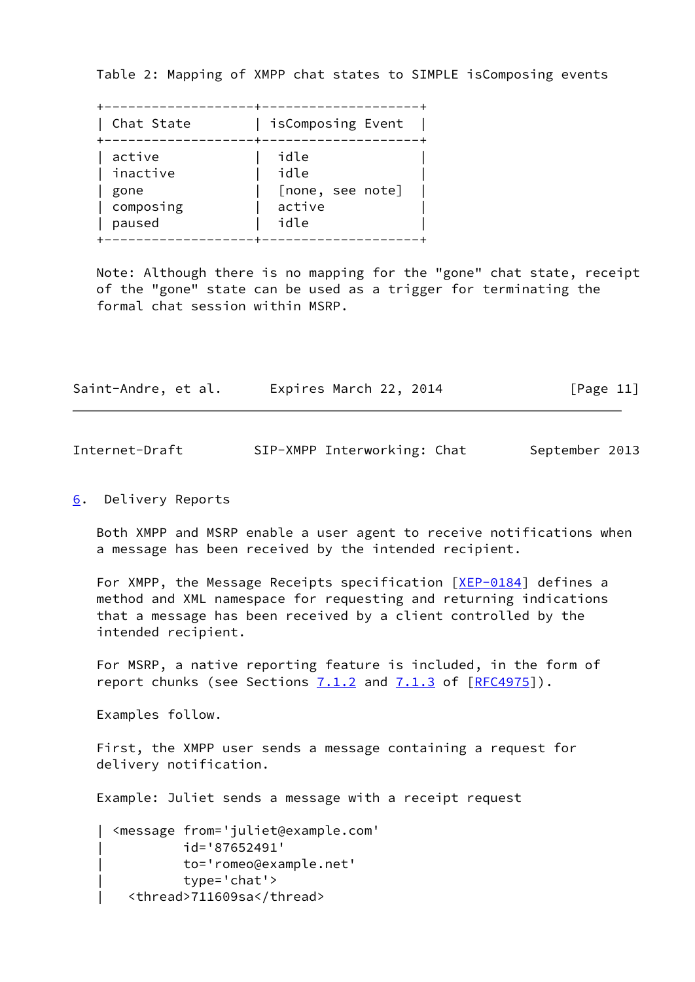Table 2: Mapping of XMPP chat states to SIMPLE isComposing events

| Chat State | isComposing Event |
|------------|-------------------|
| active     | idle              |
| inactive   | idle              |
| gone       | [none, see note]  |
| composing  | active            |
| paused     | idle              |

 Note: Although there is no mapping for the "gone" chat state, receipt of the "gone" state can be used as a trigger for terminating the formal chat session within MSRP.

| Saint-Andre, et al. | Expires March 22, 2014 | [Page 11] |
|---------------------|------------------------|-----------|
|---------------------|------------------------|-----------|

<span id="page-12-1"></span>Internet-Draft SIP-XMPP Interworking: Chat September 2013

## <span id="page-12-0"></span>[6](#page-12-0). Delivery Reports

 Both XMPP and MSRP enable a user agent to receive notifications when a message has been received by the intended recipient.

For XMPP, the Message Receipts specification [\[XEP-0184](#page-15-3)] defines a method and XML namespace for requesting and returning indications that a message has been received by a client controlled by the intended recipient.

 For MSRP, a native reporting feature is included, in the form of report chunks (see Sections  $7.1.2$  and  $7.1.3$  of  $[REC4975]$ ).

Examples follow.

 First, the XMPP user sends a message containing a request for delivery notification.

Example: Juliet sends a message with a receipt request

```
 | <message from='juliet@example.com'
            | id='87652491'
            | to='romeo@example.net'
            | type='chat'>
     | <thread>711609sa</thread>
```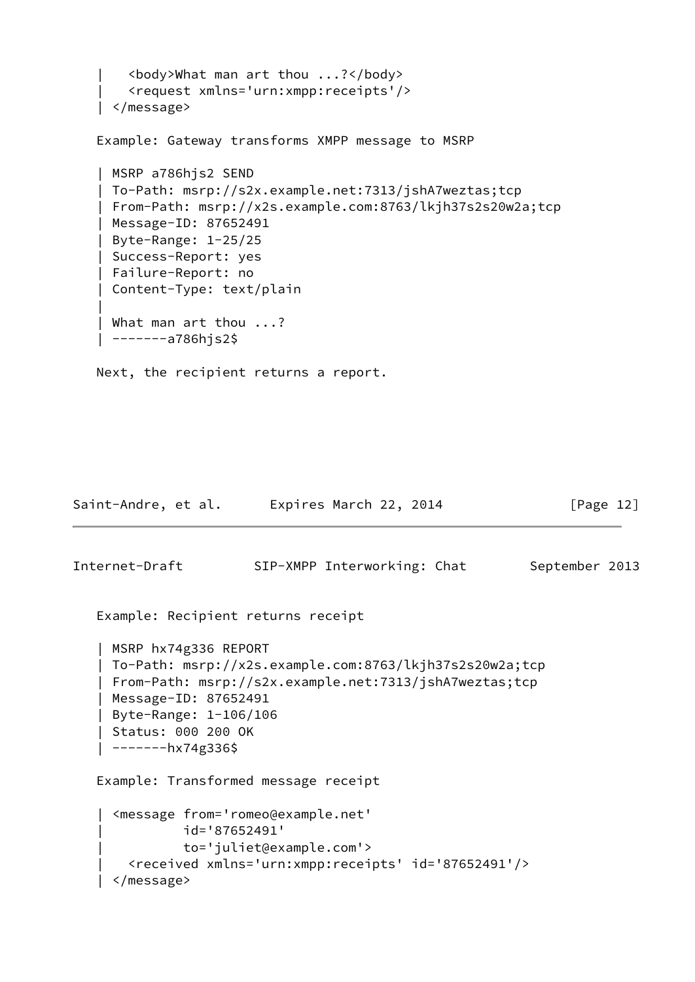```
 | <body>What man art thou ...?</body>
        | <request xmlns='urn:xmpp:receipts'/>
    | </message>
    Example: Gateway transforms XMPP message to MSRP
    | MSRP a786hjs2 SEND
    | To-Path: msrp://s2x.example.net:7313/jshA7weztas;tcp
    | From-Path: msrp://x2s.example.com:8763/lkjh37s2s20w2a;tcp
    | Message-ID: 87652491
    | Byte-Range: 1-25/25
    | Success-Report: yes
    | Failure-Report: no
    | Content-Type: text/plain
 |
    | What man art thou ...?
    | -------a786hjs2$
    Next, the recipient returns a report.
Saint-Andre, et al. Expires March 22, 2014 [Page 12]
Internet-Draft SIP-XMPP Interworking: Chat September 2013
    Example: Recipient returns receipt
    | MSRP hx74g336 REPORT
    | To-Path: msrp://x2s.example.com:8763/lkjh37s2s20w2a;tcp
    | From-Path: msrp://s2x.example.net:7313/jshA7weztas;tcp
    | Message-ID: 87652491
    | Byte-Range: 1-106/106
    | Status: 000 200 OK
   | ----hx74g336$
    Example: Transformed message receipt
    | <message from='romeo@example.net'
               | id='87652491'
              | to='juliet@example.com'>
       | <received xmlns='urn:xmpp:receipts' id='87652491'/>
     | </message>
```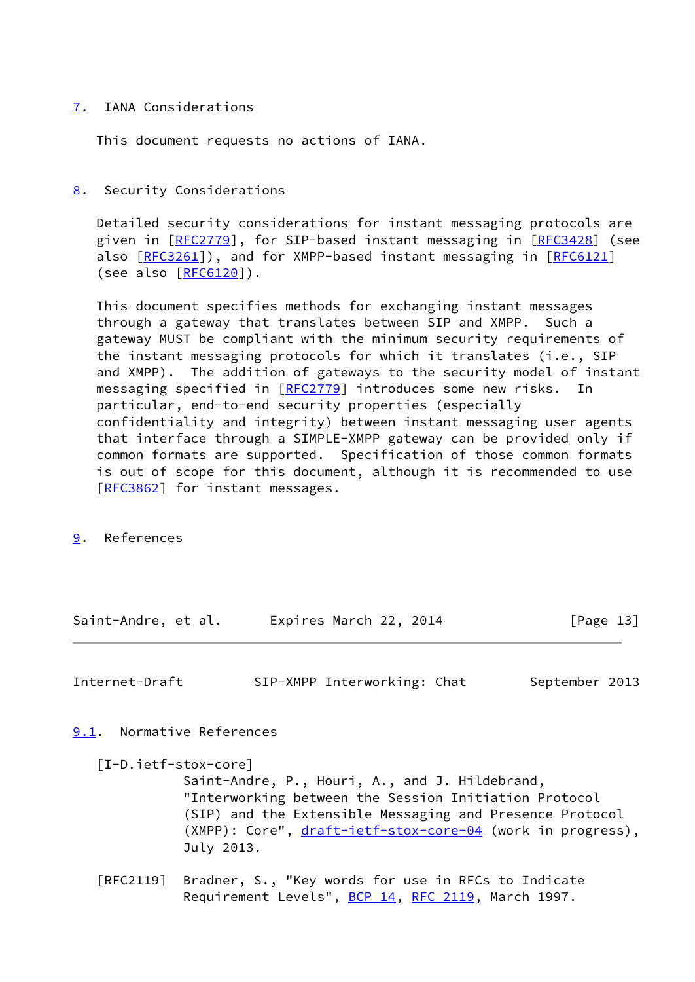## <span id="page-14-0"></span>[7](#page-14-0). IANA Considerations

This document requests no actions of IANA.

## <span id="page-14-1"></span>[8](#page-14-1). Security Considerations

 Detailed security considerations for instant messaging protocols are given in [\[RFC2779](https://datatracker.ietf.org/doc/pdf/rfc2779)], for SIP-based instant messaging in [\[RFC3428](https://datatracker.ietf.org/doc/pdf/rfc3428)] (see also [\[RFC3261](https://datatracker.ietf.org/doc/pdf/rfc3261)]), and for XMPP-based instant messaging in [\[RFC6121](https://datatracker.ietf.org/doc/pdf/rfc6121)] (see also [[RFC6120](https://datatracker.ietf.org/doc/pdf/rfc6120)]).

 This document specifies methods for exchanging instant messages through a gateway that translates between SIP and XMPP. Such a gateway MUST be compliant with the minimum security requirements of the instant messaging protocols for which it translates (i.e., SIP and XMPP). The addition of gateways to the security model of instant messaging specified in [\[RFC2779](https://datatracker.ietf.org/doc/pdf/rfc2779)] introduces some new risks. In particular, end-to-end security properties (especially confidentiality and integrity) between instant messaging user agents that interface through a SIMPLE-XMPP gateway can be provided only if common formats are supported. Specification of those common formats is out of scope for this document, although it is recommended to use [\[RFC3862](https://datatracker.ietf.org/doc/pdf/rfc3862)] for instant messages.

<span id="page-14-2"></span>[9](#page-14-2). References

Saint-Andre, et al. Expires March 22, 2014 [Page 13]

<span id="page-14-3"></span>Internet-Draft SIP-XMPP Interworking: Chat September 2013

<span id="page-14-4"></span>[9.1](#page-14-4). Normative References

<span id="page-14-5"></span> [I-D.ietf-stox-core] Saint-Andre, P., Houri, A., and J. Hildebrand, "Interworking between the Session Initiation Protocol (SIP) and the Extensible Messaging and Presence Protocol (XMPP): Core", [draft-ietf-stox-core-04](https://datatracker.ietf.org/doc/pdf/draft-ietf-stox-core-04) (work in progress), July 2013.

 [RFC2119] Bradner, S., "Key words for use in RFCs to Indicate Requirement Levels", [BCP 14](https://datatracker.ietf.org/doc/pdf/bcp14), [RFC 2119](https://datatracker.ietf.org/doc/pdf/rfc2119), March 1997.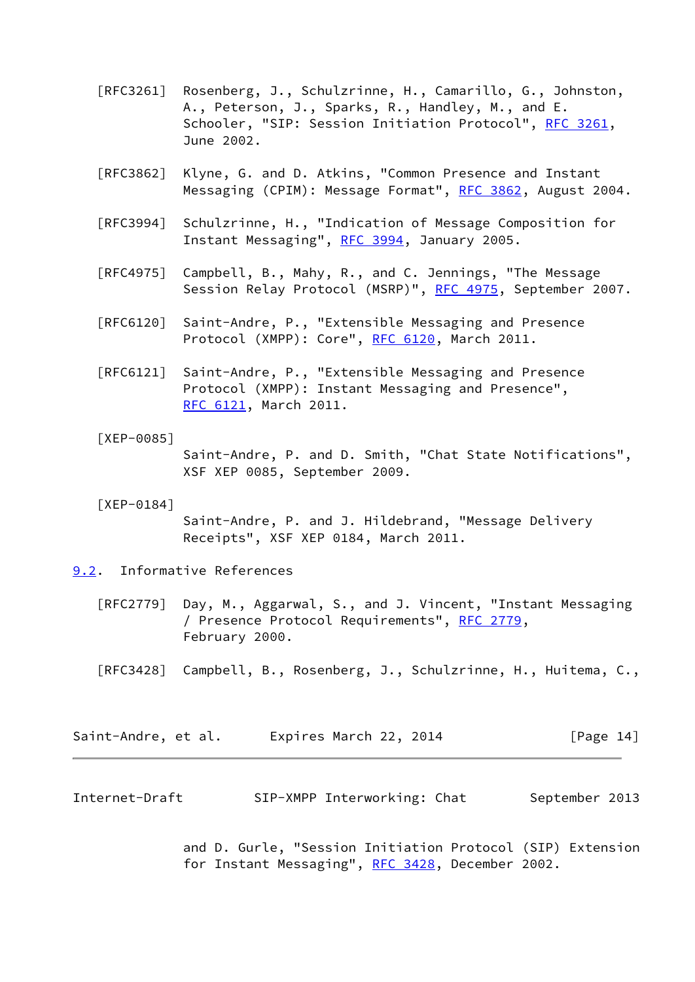- [RFC3261] Rosenberg, J., Schulzrinne, H., Camarillo, G., Johnston, A., Peterson, J., Sparks, R., Handley, M., and E. Schooler, "SIP: Session Initiation Protocol", [RFC 3261](https://datatracker.ietf.org/doc/pdf/rfc3261), June 2002.
- [RFC3862] Klyne, G. and D. Atkins, "Common Presence and Instant Messaging (CPIM): Message Format", [RFC 3862](https://datatracker.ietf.org/doc/pdf/rfc3862), August 2004.
- [RFC3994] Schulzrinne, H., "Indication of Message Composition for Instant Messaging", [RFC 3994,](https://datatracker.ietf.org/doc/pdf/rfc3994) January 2005.
- [RFC4975] Campbell, B., Mahy, R., and C. Jennings, "The Message Session Relay Protocol (MSRP)", [RFC 4975,](https://datatracker.ietf.org/doc/pdf/rfc4975) September 2007.
- [RFC6120] Saint-Andre, P., "Extensible Messaging and Presence Protocol (XMPP): Core", [RFC 6120,](https://datatracker.ietf.org/doc/pdf/rfc6120) March 2011.
- [RFC6121] Saint-Andre, P., "Extensible Messaging and Presence Protocol (XMPP): Instant Messaging and Presence", [RFC 6121,](https://datatracker.ietf.org/doc/pdf/rfc6121) March 2011.

#### <span id="page-15-2"></span>[XEP-0085]

 Saint-Andre, P. and D. Smith, "Chat State Notifications", XSF XEP 0085, September 2009.

<span id="page-15-3"></span>[XEP-0184]

 Saint-Andre, P. and J. Hildebrand, "Message Delivery Receipts", XSF XEP 0184, March 2011.

<span id="page-15-0"></span>[9.2](#page-15-0). Informative References

- [RFC2779] Day, M., Aggarwal, S., and J. Vincent, "Instant Messaging / Presence Protocol Requirements", [RFC 2779](https://datatracker.ietf.org/doc/pdf/rfc2779), February 2000.
- [RFC3428] Campbell, B., Rosenberg, J., Schulzrinne, H., Huitema, C.,

| Saint-Andre, et al. | Expires March 22, 2014 | [Page 14] |
|---------------------|------------------------|-----------|
|---------------------|------------------------|-----------|

<span id="page-15-1"></span>Internet-Draft SIP-XMPP Interworking: Chat September 2013

 and D. Gurle, "Session Initiation Protocol (SIP) Extension for Instant Messaging", [RFC 3428,](https://datatracker.ietf.org/doc/pdf/rfc3428) December 2002.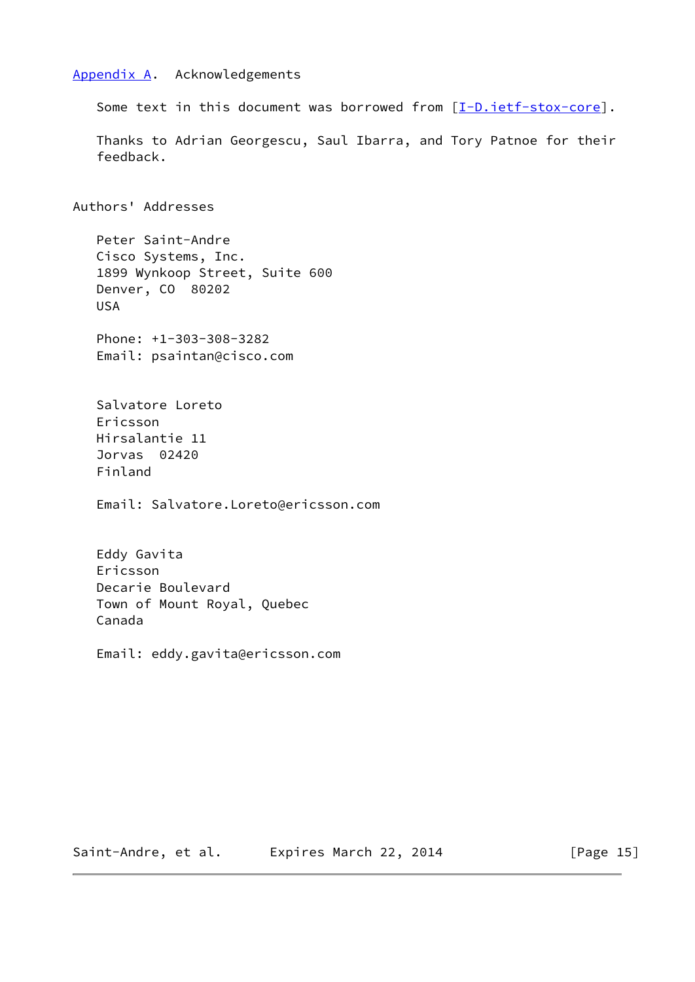# <span id="page-16-0"></span>[Appendix A.](#page-16-0) Acknowledgements

Some text in this document was borrowed from  $[I-D.iett-stox-core]$ .

 Thanks to Adrian Georgescu, Saul Ibarra, and Tory Patnoe for their feedback.

Authors' Addresses

 Peter Saint-Andre Cisco Systems, Inc. 1899 Wynkoop Street, Suite 600 Denver, CO 80202 USA

 Phone: +1-303-308-3282 Email: psaintan@cisco.com

 Salvatore Loreto Ericsson Hirsalantie 11 Jorvas 02420 Finland

Email: Salvatore.Loreto@ericsson.com

 Eddy Gavita Ericsson Decarie Boulevard Town of Mount Royal, Quebec Canada

Email: eddy.gavita@ericsson.com

Saint-Andre, et al. Expires March 22, 2014 [Page 15]